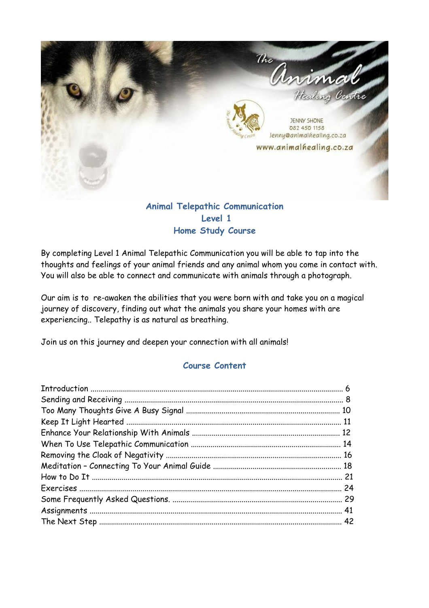

### **Animal Telepathic Communication Level 1 Home Study Course**

By completing Level 1 Animal Telepathic Communication you will be able to tap into the thoughts and feelings of your animal friends and any animal whom you come in contact with. You will also be able to connect and communicate with animals through a photograph.

Our aim is to re-awaken the abilities that you were born with and take you on a magical journey of discovery, finding out what the animals you share your homes with are experiencing.. Telepathy is as natural as breathing.

Join us on this journey and deepen your connection with all animals!

#### **Course Content**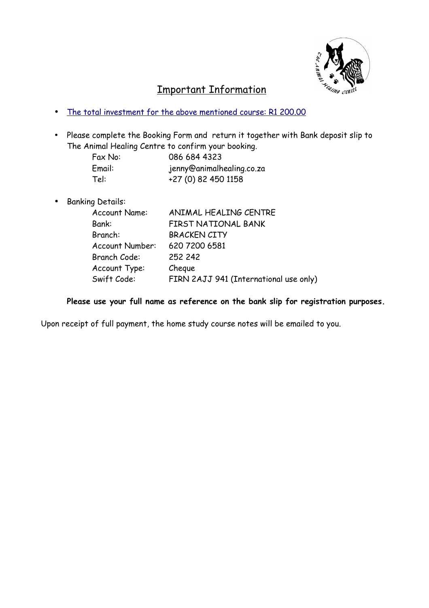<span id="page-1-0"></span>

## Important Information

- • [The total investment for the above mentioned course: R1 200.00](#page-1-0)
- Please complete the Booking Form and return it together with Bank deposit slip to The Animal Healing Centre to confirm your booking.

|         |                           | <u>. .</u> |
|---------|---------------------------|------------|
| Fax No: | 086 684 4323              |            |
| Email:  | jenny@animalhealing.co.za |            |
| Tel:    | +27 (0) 82 450 1158       |            |

• Banking Details:

| ANIMAL HEALING CENTRE                  |  |  |
|----------------------------------------|--|--|
| FIRST NATIONAL BANK                    |  |  |
| <b>BRACKEN CITY</b>                    |  |  |
| 620 7200 6581                          |  |  |
| 252 242                                |  |  |
| Cheque                                 |  |  |
| FIRN 2AJJ 941 (International use only) |  |  |
|                                        |  |  |

#### **Please use your full name as reference on the bank slip for registration purposes.**

Upon receipt of full payment, the home study course notes will be emailed to you.